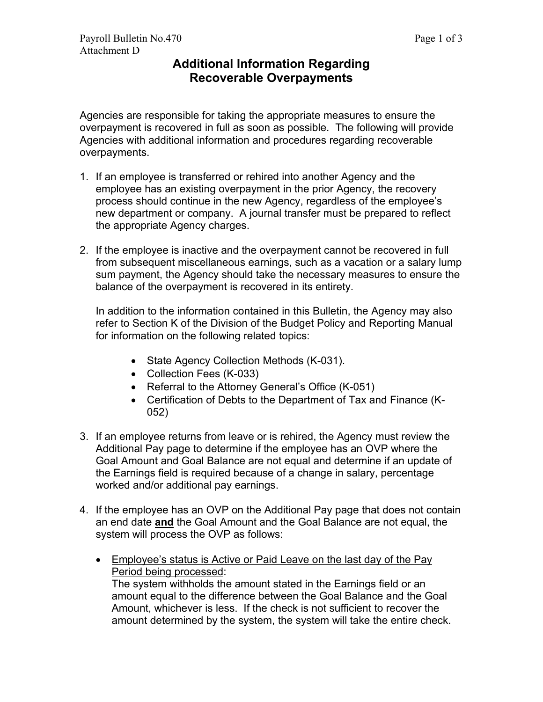## **Additional Information Regarding Recoverable Overpayments**

Agencies are responsible for taking the appropriate measures to ensure the overpayment is recovered in full as soon as possible. The following will provide Agencies with additional information and procedures regarding recoverable overpayments.

- 1. If an employee is transferred or rehired into another Agency and the employee has an existing overpayment in the prior Agency, the recovery process should continue in the new Agency, regardless of the employee's new department or company. A journal transfer must be prepared to reflect the appropriate Agency charges.
- 2. If the employee is inactive and the overpayment cannot be recovered in full from subsequent miscellaneous earnings, such as a vacation or a salary lump sum payment, the Agency should take the necessary measures to ensure the balance of the overpayment is recovered in its entirety.

In addition to the information contained in this Bulletin, the Agency may also refer to Section K of the Division of the Budget Policy and Reporting Manual for information on the following related topics:

- State Agency Collection Methods (K-031).
- Collection Fees (K-033)
- Referral to the Attorney General's Office (K-051)
- Certification of Debts to the Department of Tax and Finance (K-052)
- 3. If an employee returns from leave or is rehired, the Agency must review the Additional Pay page to determine if the employee has an OVP where the Goal Amount and Goal Balance are not equal and determine if an update of the Earnings field is required because of a change in salary, percentage worked and/or additional pay earnings.
- 4. If the employee has an OVP on the Additional Pay page that does not contain an end date **and** the Goal Amount and the Goal Balance are not equal, the system will process the OVP as follows:
	- Employee's status is Active or Paid Leave on the last day of the Pay Period being processed: The system withholds the amount stated in the Earnings field or an amount equal to the difference between the Goal Balance and the Goal Amount, whichever is less. If the check is not sufficient to recover the amount determined by the system, the system will take the entire check.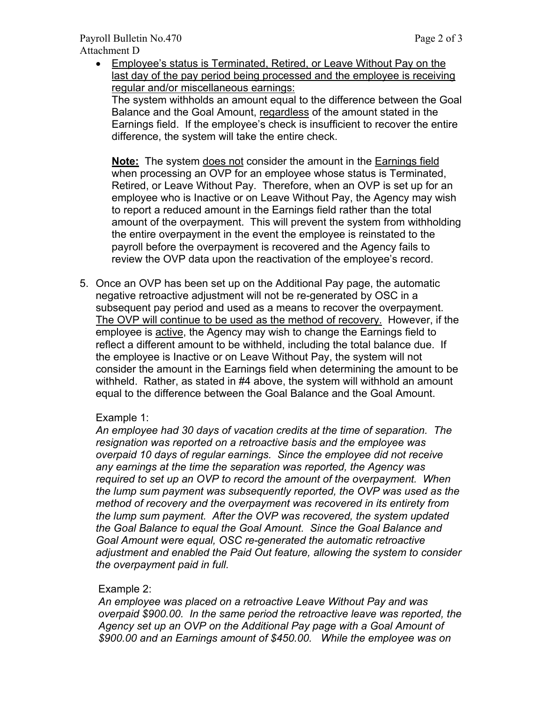• Employee's status is Terminated, Retired, or Leave Without Pay on the last day of the pay period being processed and the employee is receiving regular and/or miscellaneous earnings:

The system withholds an amount equal to the difference between the Goal Balance and the Goal Amount, regardless of the amount stated in the Earnings field. If the employee's check is insufficient to recover the entire difference, the system will take the entire check.

**Note:** The system does not consider the amount in the Earnings field when processing an OVP for an employee whose status is Terminated, Retired, or Leave Without Pay. Therefore, when an OVP is set up for an employee who is Inactive or on Leave Without Pay, the Agency may wish to report a reduced amount in the Earnings field rather than the total amount of the overpayment. This will prevent the system from withholding the entire overpayment in the event the employee is reinstated to the payroll before the overpayment is recovered and the Agency fails to review the OVP data upon the reactivation of the employee's record.

5. Once an OVP has been set up on the Additional Pay page, the automatic negative retroactive adjustment will not be re-generated by OSC in a subsequent pay period and used as a means to recover the overpayment. The OVP will continue to be used as the method of recovery. However, if the employee is active, the Agency may wish to change the Earnings field to reflect a different amount to be withheld, including the total balance due. If the employee is Inactive or on Leave Without Pay, the system will not consider the amount in the Earnings field when determining the amount to be withheld. Rather, as stated in #4 above, the system will withhold an amount equal to the difference between the Goal Balance and the Goal Amount.

## Example 1:

*An employee had 30 days of vacation credits at the time of separation. The resignation was reported on a retroactive basis and the employee was overpaid 10 days of regular earnings. Since the employee did not receive any earnings at the time the separation was reported, the Agency was required to set up an OVP to record the amount of the overpayment. When the lump sum payment was subsequently reported, the OVP was used as the method of recovery and the overpayment was recovered in its entirety from the lump sum payment. After the OVP was recovered, the system updated the Goal Balance to equal the Goal Amount. Since the Goal Balance and Goal Amount were equal, OSC re-generated the automatic retroactive adjustment and enabled the Paid Out feature, allowing the system to consider the overpayment paid in full.* 

## Example 2:

*An employee was placed on a retroactive Leave Without Pay and was overpaid \$900.00. In the same period the retroactive leave was reported, the Agency set up an OVP on the Additional Pay page with a Goal Amount of \$900.00 and an Earnings amount of \$450.00. While the employee was on*